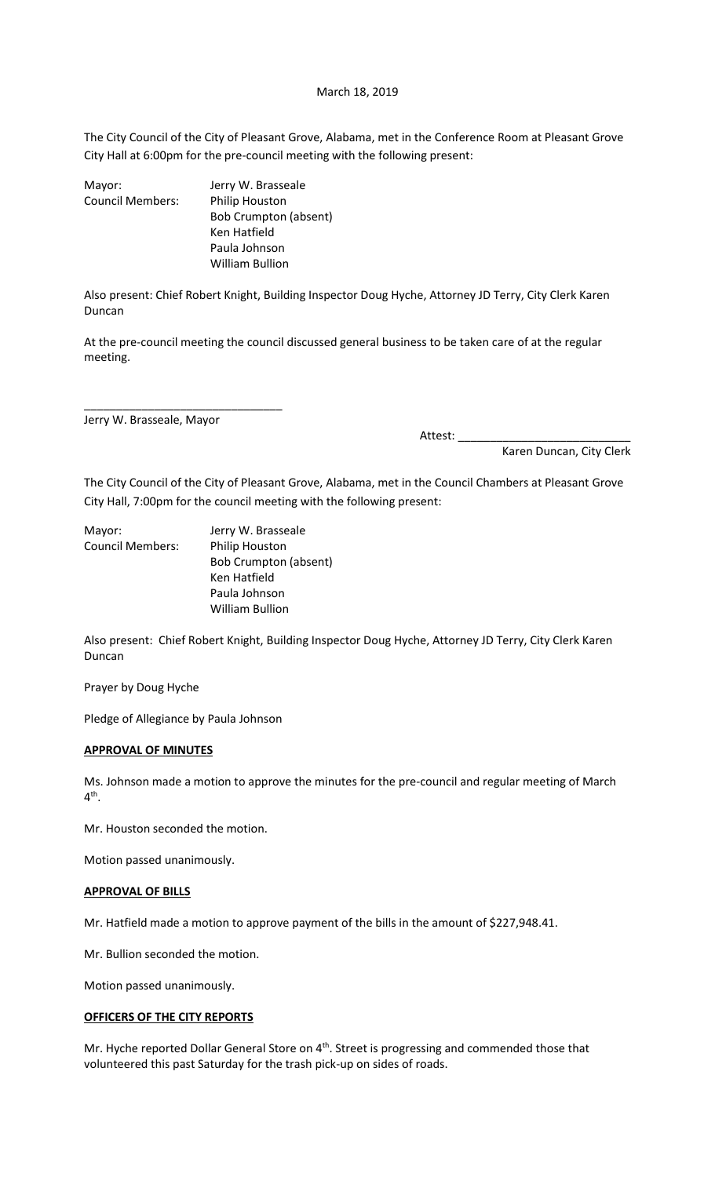#### March 18, 2019

The City Council of the City of Pleasant Grove, Alabama, met in the Conference Room at Pleasant Grove City Hall at 6:00pm for the pre-council meeting with the following present:

| Mayor:                  | Jerry W. Brasseale    |
|-------------------------|-----------------------|
| <b>Council Members:</b> | Philip Houston        |
|                         | Bob Crumpton (absent) |
|                         | Ken Hatfield          |
|                         | Paula Johnson         |
|                         | William Bullion       |

Also present: Chief Robert Knight, Building Inspector Doug Hyche, Attorney JD Terry, City Clerk Karen Duncan

At the pre-council meeting the council discussed general business to be taken care of at the regular meeting.

Jerry W. Brasseale, Mayor

\_\_\_\_\_\_\_\_\_\_\_\_\_\_\_\_\_\_\_\_\_\_\_\_\_\_\_\_\_\_\_

Attest: \_\_\_\_\_\_\_\_\_\_\_\_\_\_\_\_\_\_\_\_\_\_\_\_\_\_\_

Karen Duncan, City Clerk

The City Council of the City of Pleasant Grove, Alabama, met in the Council Chambers at Pleasant Grove City Hall, 7:00pm for the council meeting with the following present:

Mayor: Jerry W. Brasseale Council Members: Philip Houston Bob Crumpton (absent) Ken Hatfield Paula Johnson William Bullion

Also present: Chief Robert Knight, Building Inspector Doug Hyche, Attorney JD Terry, City Clerk Karen Duncan

Prayer by Doug Hyche

Pledge of Allegiance by Paula Johnson

#### **APPROVAL OF MINUTES**

Ms. Johnson made a motion to approve the minutes for the pre-council and regular meeting of March 4<sup>th</sup>.

Mr. Houston seconded the motion.

Motion passed unanimously.

# **APPROVAL OF BILLS**

Mr. Hatfield made a motion to approve payment of the bills in the amount of \$227,948.41.

Mr. Bullion seconded the motion.

Motion passed unanimously.

# **OFFICERS OF THE CITY REPORTS**

Mr. Hyche reported Dollar General Store on 4<sup>th</sup>. Street is progressing and commended those that volunteered this past Saturday for the trash pick-up on sides of roads.